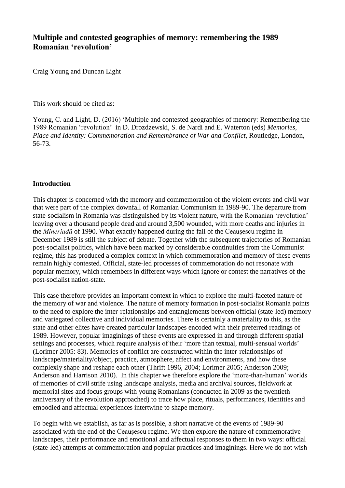# **Multiple and contested geographies of memory: remembering the 1989 Romanian 'revolution'**

Craig Young and Duncan Light

This work should be cited as:

Young, C. and Light, D. (2016) 'Multiple and contested geographies of memory: Remembering the 1989 Romanian 'revolution' in D. Drozdzewski, S. de Nardi and E. Waterton (eds) *Memories, Place and Identity: Commemoration and Remembrance of War and Conflict*, Routledge, London, 56-73.

# **Introduction**

This chapter is concerned with the memory and commemoration of the violent events and civil war that were part of the complex downfall of Romanian Communism in 1989-90. The departure from state-socialism in Romania was distinguished by its violent nature, with the Romanian 'revolution' leaving over a thousand people dead and around 3,500 wounded, with more deaths and injuries in the *Mineriadă* of 1990. What exactly happened during the fall of the Ceauşescu regime in December 1989 is still the subject of debate. Together with the subsequent trajectories of Romanian post-socialist politics, which have been marked by considerable continuities from the Communist regime, this has produced a complex context in which commemoration and memory of these events remain highly contested. Official, state-led processes of commemoration do not resonate with popular memory, which remembers in different ways which ignore or contest the narratives of the post-socialist nation-state.

This case therefore provides an important context in which to explore the multi-faceted nature of the memory of war and violence. The nature of memory formation in post-socialist Romania points to the need to explore the inter-relationships and entanglements between official (state-led) memory and variegated collective and individual memories. There is certainly a materiality to this, as the state and other elites have created particular landscapes encoded with their preferred readings of 1989. However, popular imaginings of these events are expressed in and through different spatial settings and processes, which require analysis of their 'more than textual, multi-sensual worlds' (Lorimer 2005: 83). Memories of conflict are constructed within the inter-relationships of landscape/materiality/object, practice, atmosphere, affect and environments, and how these complexly shape and reshape each other (Thrift 1996, 2004; Lorimer 2005; Anderson 2009; Anderson and Harrison 2010). In this chapter we therefore explore the 'more-than-human' worlds of memories of civil strife using landscape analysis, media and archival sources, fieldwork at memorial sites and focus groups with young Romanians (conducted in 2009 as the twentieth anniversary of the revolution approached) to trace how place, rituals, performances, identities and embodied and affectual experiences intertwine to shape memory.

To begin with we establish, as far as is possible, a short narrative of the events of 1989-90 associated with the end of the Ceauşescu regime. We then explore the nature of commemorative landscapes, their performance and emotional and affectual responses to them in two ways: official (state-led) attempts at commemoration and popular practices and imaginings. Here we do not wish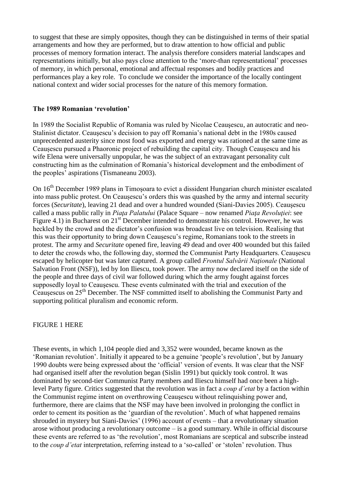to suggest that these are simply opposites, though they can be distinguished in terms of their spatial arrangements and how they are performed, but to draw attention to how official and public processes of memory formation interact. The analysis therefore considers material landscapes and representations initially, but also pays close attention to the 'more-than representational' processes of memory, in which personal, emotional and affectual responses and bodily practices and performances play a key role. To conclude we consider the importance of the locally contingent national context and wider social processes for the nature of this memory formation.

### **The 1989 Romanian 'revolution'**

In 1989 the Socialist Republic of Romania was ruled by Nicolae Ceauşescu, an autocratic and neo-Stalinist dictator. Ceauşescu's decision to pay off Romania's national debt in the 1980s caused unprecedented austerity since most food was exported and energy was rationed at the same time as Ceaușescu pursued a Phaoronic project of rebuilding the capital city. Though Ceaușescu and his wife Elena were universally unpopular, he was the subject of an extravagant personality cult constructing him as the culmination of Romania's historical development and the embodiment of the peoples' aspirations (Tismaneanu 2003).

On 16<sup>th</sup> December 1989 plans in Timoșoara to evict a dissident Hungarian church minister escalated into mass public protest. On Ceaușescu's orders this was quashed by the army and internal security forces (*Securitate*), leaving 21 dead and over a hundred wounded (Siani-Davies 2005). Ceauşescu called a mass public rally in *Piaţa Palatului* (Palace Square – now renamed *Piaţa Revoluţiei*: see Figure 4.1) in Bucharest on  $21<sup>st</sup>$  December intended to demonstrate his control. However, he was heckled by the crowd and the dictator's confusion was broadcast live on television. Realising that this was their opportunity to bring down Ceaușescu's regime, Romanians took to the streets in protest. The army and *Securitate* opened fire, leaving 49 dead and over 400 wounded but this failed to deter the crowds who, the following day, stormed the Communist Party Headquarters. Ceauşescu escaped by helicopter but was later captured. A group called *Frontul Salvării Naţionale* (National Salvation Front (NSF)), led by Ion Iliescu, took power. The army now declared itself on the side of the people and three days of civil war followed during which the army fought against forces supposedly loyal to Ceauşescu. These events culminated with the trial and execution of the Ceauşescus on  $25<sup>th</sup>$  December. The NSF committed itself to abolishing the Communist Party and supporting political pluralism and economic reform.

# FIGURE 1 HERE

These events, in which 1,104 people died and 3,352 were wounded, became known as the 'Romanian revolution'. Initially it appeared to be a genuine 'people's revolution', but by January 1990 doubts were being expressed about the 'official' version of events. It was clear that the NSF had organised itself after the revolution began (Sislin 1991) but quickly took control. It was dominated by second-tier Communist Party members and Iliescu himself had once been a highlevel Party figure. Critics suggested that the revolution was in fact a *coup d'etat* by a faction within the Communist regime intent on overthrowing Ceauşescu without relinquishing power and, furthermore, there are claims that the NSF may have been involved in prolonging the conflict in order to cement its position as the 'guardian of the revolution'. Much of what happened remains shrouded in mystery but Siani-Davies' (1996) account of events – that a revolutionary situation arose without producing a revolutionary outcome – is a good summary. While in official discourse these events are referred to as 'the revolution', most Romanians are sceptical and subscribe instead to the *coup d'etat* interpretation, referring instead to a 'so-called' or 'stolen' revolution. Thus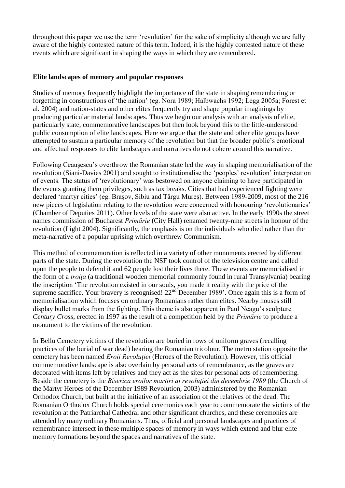throughout this paper we use the term 'revolution' for the sake of simplicity although we are fully aware of the highly contested nature of this term. Indeed, it is the highly contested nature of these events which are significant in shaping the ways in which they are remembered.

### **Elite landscapes of memory and popular responses**

Studies of memory frequently highlight the importance of the state in shaping remembering or forgetting in constructions of 'the nation' (eg. Nora 1989; Halbwachs 1992; Legg 2005a; Forest et al. 2004) and nation-states and other elites frequently try and shape popular imaginings by producing particular material landscapes. Thus we begin our analysis with an analysis of elite, particularly state, commemorative landscapes but then look beyond this to the little-understood public consumption of elite landscapes. Here we argue that the state and other elite groups have attempted to sustain a particular memory of the revolution but that the broader public's emotional and affectual responses to elite landscapes and narratives do not cohere around this narrative.

Following Ceaușescu's overthrow the Romanian state led the way in shaping memorialisation of the revolution (Siani-Davies 2001) and sought to institutionalise the 'peoples' revolution' interpretation of events. The status of 'revolutionary' was bestowed on anyone claiming to have participated in the events granting them privileges, such as tax breaks. Cities that had experienced fighting were declared 'martyr cities' (eg. Brașov, Sibiu and Târgu Mureş). Between 1989-2009, most of the 216 new pieces of legislation relating to the revolution were concerned with honouring 'revolutionaries' (Chamber of Deputies 2011). Other levels of the state were also active. In the early 1990s the street names commission of Bucharest *Primărie* (City Hall) renamed twenty-nine streets in honour of the revolution (Light 2004). Significantly, the emphasis is on the individuals who died rather than the meta-narrative of a popular uprising which overthrew Communism.

This method of commemoration is reflected in a variety of other monuments erected by different parts of the state. During the revolution the NSF took control of the television centre and called upon the people to defend it and 62 people lost their lives there. These events are memorialised in the form of a *troiţa* (a traditional wooden memorial commonly found in rural Transylvania) bearing the inscription 'The revolution existed in our souls, you made it reality with the price of the supreme sacrifice. Your bravery is recognised!  $22<sup>nd</sup>$  December 1989'. Once again this is a form of memorialisation which focuses on ordinary Romanians rather than elites. Nearby houses still display bullet marks from the fighting. This theme is also apparent in Paul Neagu's sculpture *Century Cross*, erected in 1997 as the result of a competition held by the *Primărie* to produce a monument to the victims of the revolution.

In Bellu Cemetery victims of the revolution are buried in rows of uniform graves (recalling practices of the burial of war dead) bearing the Romanian tricolour. The metro station opposite the cemetery has been named *Eroii Revoluţiei* (Heroes of the Revolution). However, this official commemorative landscape is also overlain by personal acts of remembrance, as the graves are decorated with items left by relatives and they act as the sites for personal acts of remembering. Beside the cemetery is the *Biserica eroilor martiri ai revoluției din decembrie 1989* (the Church of the Martyr Heroes of the December 1989 Revolution, 2003) administered by the Romanian Orthodox Church, but built at the initiative of an association of the relatives of the dead. The Romanian Orthodox Church holds special ceremonies each year to commemorate the victims of the revolution at the Patriarchal Cathedral and other significant churches, and these ceremonies are attended by many ordinary Romanians. Thus, official and personal landscapes and practices of remembrance intersect in these multiple spaces of memory in ways which extend and blur elite memory formations beyond the spaces and narratives of the state.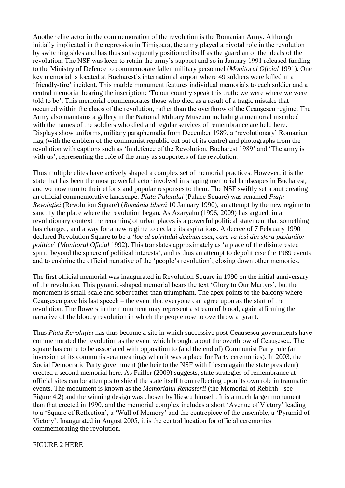Another elite actor in the commemoration of the revolution is the Romanian Army. Although initially implicated in the repression in Timișoara, the army played a pivotal role in the revolution by switching sides and has thus subsequently positioned itself as the guardian of the ideals of the revolution. The NSF was keen to retain the army's support and so in January 1991 released funding to the Ministry of Defence to commemorate fallen military personnel (*Monitorul Oficial* 1991). One key memorial is located at Bucharest's international airport where 49 soldiers were killed in a 'friendly-fire' incident. This marble monument features individual memorials to each soldier and a central memorial bearing the inscription: 'To our country speak this truth: we were where we were told to be'. This memorial commemorates those who died as a result of a tragic mistake that occurred within the chaos of the revolution, rather than the overthrow of the Ceauşescu regime. The Army also maintains a gallery in the National Military Museum including a memorial inscribed with the names of the soldiers who died and regular services of remembrance are held here. Displays show uniforms, military paraphernalia from December 1989, a 'revolutionary' Romanian flag (with the emblem of the communist republic cut out of its centre) and photographs from the revolution with captions such as 'In defence of the Revolution, Bucharest 1989' and 'The army is with us', representing the role of the army as supporters of the revolution.

Thus multiple elites have actively shaped a complex set of memorial practices. However, it is the state that has been the most powerful actor involved in shaping memorial landscapes in Bucharest, and we now turn to their efforts and popular responses to them. The NSF swiftly set about creating an official commemorative landscape. *Piata Palatului* (Palace Square) was renamed *Piaţa Revoluţiei* (Revolution Square) (*România liberă* 10 January 1990), an attempt by the new regime to sanctify the place where the revolution began. As Azaryahu (1996, 2009) has argued, in a revolutionary context the renaming of urban places is a powerful political statement that something has changed, and a way for a new regime to declare its aspirations. A decree of 7 February 1990 declared Revolution Square to be a '*loc al spiritului dezinteresat, care va iesi din sfera pasiunilor politice*' (*Monitorul Oficial* 1992). This translates approximately as 'a place of the disinterested spirit, beyond the sphere of political interests', and is thus an attempt to depoliticise the 1989 events and to enshrine the official narrative of the 'people's revolution', closing down other memories.

The first official memorial was inaugurated in Revolution Square in 1990 on the initial anniversary of the revolution. This pyramid-shaped memorial bears the text 'Glory to Our Martyrs', but the monument is small-scale and sober rather than triumphant. The apex points to the balcony where Ceauşescu gave his last speech – the event that everyone can agree upon as the start of the revolution. The flowers in the monument may represent a stream of blood, again affirming the narrative of the bloody revolution in which the people rose to overthrow a tyrant.

Thus *Piaţa Revoluţiei* has thus become a site in which successive post-Ceauşescu governments have commemorated the revolution as the event which brought about the overthrow of Ceauşescu. The square has come to be associated with opposition to (and the end of) Communist Party rule (an inversion of its communist-era meanings when it was a place for Party ceremonies). In 2003, the Social Democratic Party government (the heir to the NSF with Iliescu again the state president) erected a second memorial here. As Failler (2009) suggests, state strategies of remembrance at official sites can be attempts to shield the state itself from reflecting upon its own role in traumatic events. The monument is known as the *Memorialul Renasterii* (the Memorial of Rebirth - see Figure 4.2) and the winning design was chosen by Iliescu himself. It is a much larger monument than that erected in 1990, and the memorial complex includes a short 'Avenue of Victory' leading to a 'Square of Reflection', a 'Wall of Memory' and the centrepiece of the ensemble, a 'Pyramid of Victory'. Inaugurated in August 2005, it is the central location for official ceremonies commemorating the revolution.

### FIGURE 2 HERE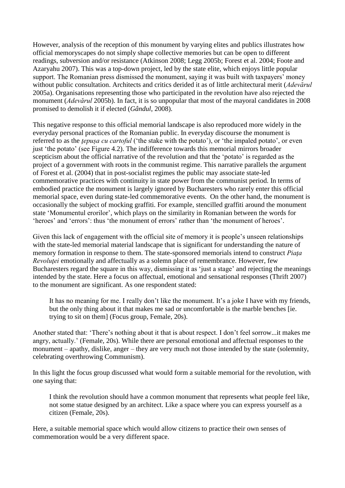However, analysis of the reception of this monument by varying elites and publics illustrates how official memoryscapes do not simply shape collective memories but can be open to different readings, subversion and/or resistance (Atkinson 2008; Legg 2005b; Forest et al. 2004; Foote and Azaryahu 2007). This was a top-down project, led by the state elite, which enjoys little popular support. The Romanian press dismissed the monument, saying it was built with taxpayers' money without public consultation. Architects and critics derided it as of little architectural merit (*Adevărul*  2005a). Organisations representing those who participated in the revolution have also rejected the monument (*Adevărul* 2005b). In fact, it is so unpopular that most of the mayoral candidates in 2008 promised to demolish it if elected (*Gândul*, 2008).

This negative response to this official memorial landscape is also reproduced more widely in the everyday personal practices of the Romanian public. In everyday discourse the monument is referred to as the *ţepușa cu cartoful* ('the stake with the potato'), or 'the impaled potato', or even just 'the potato' (see Figure 4.2). The indifference towards this memorial mirrors broader scepticism about the official narrative of the revolution and that the 'potato' is regarded as the project of a government with roots in the communist regime. This narrative parallels the argument of Forest et al. (2004) that in post-socialist regimes the public may associate state-led commemorative practices with continuity in state power from the communist period. In terms of embodied practice the monument is largely ignored by Bucharesters who rarely enter this official memorial space, even during state-led commemorative events. On the other hand, the monument is occasionally the subject of mocking graffiti. For example, stencilled graffiti around the monument state 'Monumentul erorilor', which plays on the similarity in Romanian between the words for 'heroes' and 'errors': thus 'the monument of errors' rather than 'the monument of heroes'.

Given this lack of engagement with the official site of memory it is people's unseen relationships with the state-led memorial material landscape that is significant for understanding the nature of memory formation in response to them. The state-sponsored memorials intend to construct *Piaţa Revolutei* emotionally and affectually as a solemn place of remembrance. However, few Bucharesters regard the square in this way, dismissing it as 'just a stage' and rejecting the meanings intended by the state. Here a focus on affectual, emotional and sensational responses (Thrift 2007) to the monument are significant. As one respondent stated:

It has no meaning for me. I really don't like the monument. It's a joke I have with my friends, but the only thing about it that makes me sad or uncomfortable is the marble benches [ie. trying to sit on them] (Focus group, Female, 20s).

Another stated that: 'There's nothing about it that is about respect. I don't feel sorrow...it makes me angry, actually.' (Female, 20s). While there are personal emotional and affectual responses to the monument – apathy, dislike, anger – they are very much not those intended by the state (solemnity, celebrating overthrowing Communism).

In this light the focus group discussed what would form a suitable memorial for the revolution, with one saying that:

I think the revolution should have a common monument that represents what people feel like, not some statue designed by an architect. Like a space where you can express yourself as a citizen (Female, 20s).

Here, a suitable memorial space which would allow citizens to practice their own senses of commemoration would be a very different space.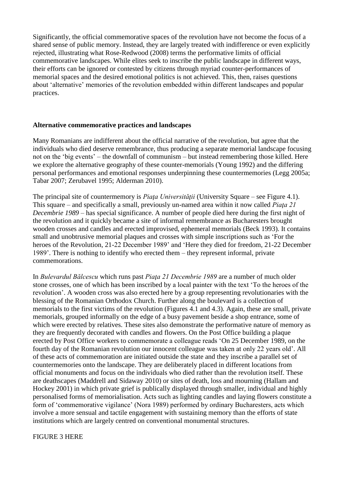Significantly, the official commemorative spaces of the revolution have not become the focus of a shared sense of public memory. Instead, they are largely treated with indifference or even explicitly rejected, illustrating what Rose-Redwood (2008) terms the performative limits of official commemorative landscapes. While elites seek to inscribe the public landscape in different ways, their efforts can be ignored or contested by citizens through myriad counter-performances of memorial spaces and the desired emotional politics is not achieved. This, then, raises questions about 'alternative' memories of the revolution embedded within different landscapes and popular practices.

#### **Alternative commemorative practices and landscapes**

Many Romanians are indifferent about the official narrative of the revolution, but agree that the individuals who died deserve remembrance, thus producing a separate memorial landscape focusing not on the 'big events' – the downfall of communism – but instead remembering those killed. Here we explore the alternative geography of these counter-memorials (Young 1992) and the differing personal performances and emotional responses underpinning these countermemories (Legg 2005a; Tabar 2007; Zerubavel 1995; Alderman 2010).

The principal site of countermemory is *Piaţa Universităţii* (University Square – see Figure 4.1). This square – and specifically a small, previously un-named area within it now called *Piaţa 21 Decembrie 1989* – has special significance. A number of people died here during the first night of the revolution and it quickly became a site of informal remembrance as Bucharesters brought wooden crosses and candles and erected improvised, ephemeral memorials (Beck 1993). It contains small and unobtrusive memorial plaques and crosses with simple inscriptions such as 'For the heroes of the Revolution, 21-22 December 1989' and 'Here they died for freedom, 21-22 December 1989'. There is nothing to identify who erected them – they represent informal, private commemorations.

In *Bulevardul Bălcescu* which runs past *Piaţa 21 Decembrie 1989* are a number of much older stone crosses, one of which has been inscribed by a local painter with the text 'To the heroes of the revolution'. A wooden cross was also erected here by a group representing revolutionaries with the blessing of the Romanian Orthodox Church. Further along the boulevard is a collection of memorials to the first victims of the revolution (Figures 4.1 and 4.3). Again, these are small, private memorials, grouped informally on the edge of a busy pavement beside a shop entrance, some of which were erected by relatives. These sites also demonstrate the performative nature of memory as they are frequently decorated with candles and flowers. On the Post Office building a plaque erected by Post Office workers to commemorate a colleague reads 'On 25 December 1989, on the fourth day of the Romanian revolution our innocent colleague was taken at only 22 years old'. All of these acts of commemoration are initiated outside the state and they inscribe a parallel set of countermemories onto the landscape. They are deliberately placed in different locations from official monuments and focus on the individuals who died rather than the revolution itself. These are deathscapes (Maddrell and Sidaway 2010) or sites of death, loss and mourning (Hallam and Hockey 2001) in which private grief is publically displayed through smaller, individual and highly personalised forms of memorialisation. Acts such as lighting candles and laying flowers constitute a form of 'commemorative vigilance' (Nora 1989) performed by ordinary Bucharesters, acts which involve a more sensual and tactile engagement with sustaining memory than the efforts of state institutions which are largely centred on conventional monumental structures.

### FIGURE 3 HERE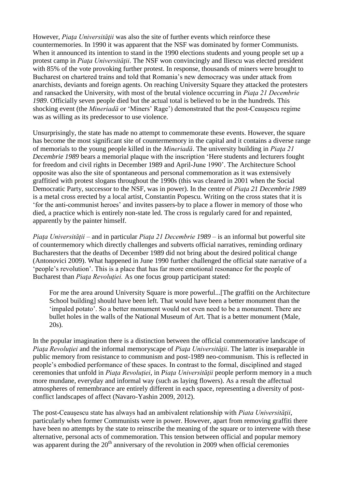However, *Piaţa Universităţii* was also the site of further events which reinforce these countermemories. In 1990 it was apparent that the NSF was dominated by former Communists*.*  When it announced its intention to stand in the 1990 elections students and young people set up a protest camp in *Piaţa Universităţii*. The NSF won convincingly and Iliescu was elected president with 85% of the vote provoking further protest. In response, thousands of miners were brought to Bucharest on chartered trains and told that Romania's new democracy was under attack from anarchists, deviants and foreign agents. On reaching University Square they attacked the protesters and ransacked the University, with most of the brutal violence occurring in *Piaţa 21 Decembrie 1989*. Officially seven people died but the actual total is believed to be in the hundreds. This shocking event (the *Mineriadă* or 'Miners' Rage') demonstrated that the post-Ceauşescu regime was as willing as its predecessor to use violence.

Unsurprisingly, the state has made no attempt to commemorate these events. However, the square has become the most significant site of countermemory in the capital and it contains a diverse range of memorials to the young people killed in the *Mineriadă*. The university building in *Piaţa 21 Decembrie 1989* bears a memorial plaque with the inscription 'Here students and lecturers fought for freedom and civil rights in December 1989 and April-June 1990'. The Architecture School opposite was also the site of spontaneous and personal commemoration as it was extensively graffitied with protest slogans throughout the 1990s (this was cleared in 2001 when the Social Democratic Party, successor to the NSF, was in power). In the centre of *Piaţa 21 Decembrie 1989* is a metal cross erected by a local artist, Constantin Popescu. Writing on the cross states that it is 'for the anti-communist heroes' and invites passers-by to place a flower in memory of those who died, a practice which is entirely non-state led. The cross is regularly cared for and repainted, apparently by the painter himself.

*Piaţa Universităţii* – and in particular *Piaţa 21 Decembrie 1989* – is an informal but powerful site of countermemory which directly challenges and subverts official narratives, reminding ordinary Bucharesters that the deaths of December 1989 did not bring about the desired political change (Antonovici 2009). What happened in June 1990 further challenged the official state narrative of a 'people's revolution'. This is a place that has far more emotional resonance for the people of Bucharest than *Piaţa Revoluţiei.* As one focus group participant stated:

For me the area around University Square is more powerful...[The graffiti on the Architecture School building] should have been left. That would have been a better monument than the 'impaled potato'. So a better monument would not even need to be a monument. There are bullet holes in the walls of the National Museum of Art. That is a better monument (Male, 20s).

In the popular imagination there is a distinction between the official commemorative landscape of *Piaţa Revoluţiei* and the informal memoryscape of *Piaţa Universităţii*. The latter is inseparable in public memory from resistance to communism and post-1989 neo-communism. This is reflected in people's embodied performance of these spaces. In contrast to the formal, disciplined and staged ceremonies that unfold in *Piaţa Revoluţiei*, in *Piaţa Universităţii* people perform memory in a much more mundane, everyday and informal way (such as laying flowers). As a result the affectual atmospheres of remembrance are entirely different in each space, representing a diversity of postconflict landscapes of affect (Navaro-Yashin 2009, 2012).

The post-Ceauşescu state has always had an ambivalent relationship with *Piata Universităţii*, particularly when former Communists were in power. However, apart from removing graffiti there have been no attempts by the state to reinscribe the meaning of the square or to intervene with these alternative, personal acts of commemoration. This tension between official and popular memory was apparent during the  $20<sup>th</sup>$  anniversary of the revolution in 2009 when official ceremonies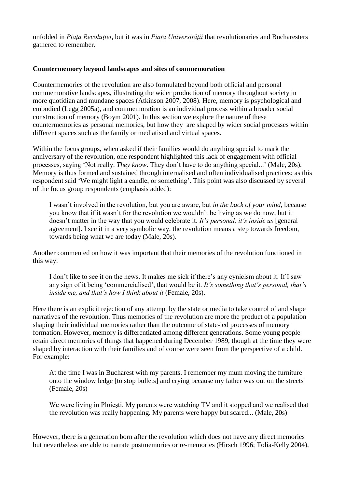unfolded in *Piaţa Revoluţiei*, but it was in *Piata Universităţii* that revolutionaries and Bucharesters gathered to remember.

### **Countermemory beyond landscapes and sites of commemoration**

Countermemories of the revolution are also formulated beyond both official and personal commemorative landscapes, illustrating the wider production of memory throughout society in more quotidian and mundane spaces (Atkinson 2007, 2008). Here, memory is psychological and embodied (Legg 2005a), and commemoration is an individual process within a broader social construction of memory (Boym 2001). In this section we explore the nature of these countermemories as personal memories, but how they are shaped by wider social processes within different spaces such as the family or mediatised and virtual spaces.

Within the focus groups, when asked if their families would do anything special to mark the anniversary of the revolution, one respondent highlighted this lack of engagement with official processes, saying 'Not really. *They know*. They don't have to do anything special...' (Male, 20s). Memory is thus formed and sustained through internalised and often individualised practices: as this respondent said 'We might light a candle, or something'. This point was also discussed by several of the focus group respondents (emphasis added):

I wasn't involved in the revolution, but you are aware, but *in the back of your mind*, because you know that if it wasn't for the revolution we wouldn't be living as we do now, but it doesn't matter in the way that you would celebrate it. *It's personal, it's inside us* [general agreement]. I see it in a very symbolic way, the revolution means a step towards freedom, towards being what we are today (Male, 20s).

Another commented on how it was important that their memories of the revolution functioned in this way:

I don't like to see it on the news. It makes me sick if there's any cynicism about it. If I saw any sign of it being 'commercialised', that would be it. *It's something that's personal, that's inside me, and that's how I think about it* (Female, 20s).

Here there is an explicit rejection of any attempt by the state or media to take control of and shape narratives of the revolution. Thus memories of the revolution are more the product of a population shaping their individual memories rather than the outcome of state-led processes of memory formation. However, memory is differentiated among different generations. Some young people retain direct memories of things that happened during December 1989, though at the time they were shaped by interaction with their families and of course were seen from the perspective of a child. For example:

At the time I was in Bucharest with my parents. I remember my mum moving the furniture onto the window ledge [to stop bullets] and crying because my father was out on the streets (Female, 20s)

We were living in Ploiesti. My parents were watching TV and it stopped and we realised that the revolution was really happening. My parents were happy but scared... (Male, 20s)

However, there is a generation born after the revolution which does not have any direct memories but nevertheless are able to narrate postmemories or re-memories (Hirsch 1996; Tolia-Kelly 2004),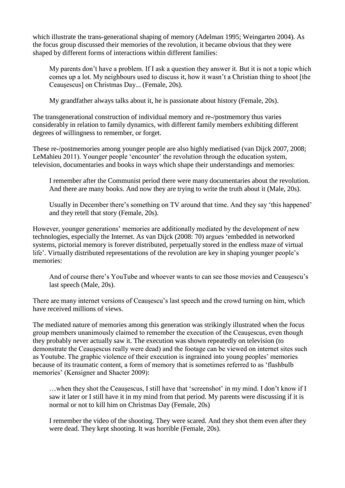which illustrate the trans-generational shaping of memory (Adelman 1995; Weingarten 2004). As the focus group discussed their memories of the revolution, it became obvious that they were shaped by different forms of interactions within different families:

My parents don't have a problem. If I ask a question they answer it. But it is not a topic which comes up a lot. My neighbours used to discuss it, how it wasn't a Christian thing to shoot [the Ceauşescus] on Christmas Day... (Female, 20s).

My grandfather always talks about it, he is passionate about history (Female, 20s).

The transgenerational construction of individual memory and re-/postmemory thus varies considerably in relation to family dynamics, with different family members exhibiting different degrees of willingness to remember, or forget.

These re-/postmemories among younger people are also highly mediatised (van Dijck 2007, 2008; LeMahieu 2011). Younger people 'encounter' the revolution through the education system, television, documentaries and books in ways which shape their understandings and memories:

I remember after the Communist period there were many documentaries about the revolution. And there are many books. And now they are trying to write the truth about it (Male, 20s).

Usually in December there's something on TV around that time. And they say 'this happened' and they retell that story (Female, 20s).

However, younger generations' memories are additionally mediated by the development of new technologies, especially the Internet. As van Dijck (2008: 70) argues 'embedded in networked systems, pictorial memory is forever distributed, perpetually stored in the endless maze of virtual life'. Virtually distributed representations of the revolution are key in shaping younger people's memories:

And of course there's YouTube and whoever wants to can see those movies and Ceauşescu's last speech (Male, 20s).

There are many internet versions of Ceauşescu's last speech and the crowd turning on him, which have received millions of views.

The mediated nature of memories among this generation was strikingly illustrated when the focus group members unanimously claimed to remember the execution of the Ceauşescus, even though they probably never actually saw it. The execution was shown repeatedly on television (to demonstrate the Ceauşescus really were dead) and the footage can be viewed on internet sites such as Youtube. The graphic violence of their execution is ingrained into young peoples' memories because of its traumatic content, a form of memory that is sometimes referred to as 'flashbulb memories' (Kensigner and Shacter 2009):

…when they shot the Ceauşescus, I still have that 'screenshot' in my mind. I don't know if I saw it later or I still have it in my mind from that period. My parents were discussing if it is normal or not to kill him on Christmas Day (Female, 20s)

I remember the video of the shooting. They were scared. And they shot them even after they were dead. They kept shooting. It was horrible (Female, 20s).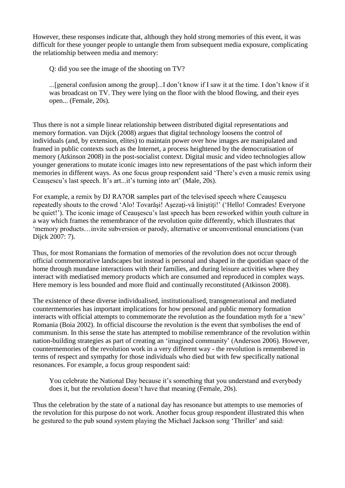However, these responses indicate that, although they hold strong memories of this event, it was difficult for these younger people to untangle them from subsequent media exposure, complicating the relationship between media and memory:

Q: did you see the image of the shooting on TV?

...[general confusion among the group]...I don't know if I saw it at the time. I don't know if it was broadcast on TV. They were lying on the floor with the blood flowing, and their eyes open... (Female, 20s).

Thus there is not a simple linear relationship between distributed digital representations and memory formation. van Dijck (2008) argues that digital technology loosens the control of individuals (and, by extension, elites) to maintain power over how images are manipulated and framed in public contexts such as the Internet, a process heightened by the democratisation of memory (Atkinson 2008) in the post-socialist context. Digital music and video technologies allow younger generations to mutate iconic images into new representations of the past which inform their memories in different ways. As one focus group respondent said 'There's even a music remix using Ceauşescu's last speech. It's art...it's turning into art' (Male, 20s).

For example, a remix by DJ RA7OR samples part of the televised speech where Ceauşescu repeatedly shouts to the crowd 'Alo! Tovarăşi! Aşezaţi-vă liniştiţi!' ('Hello! Comrades! Everyone be quiet!'). The iconic image of Ceauşescu's last speech has been reworked within youth culture in a way which frames the remembrance of the revolution quite differently, which illustrates that 'memory products…invite subversion or parody, alternative or unconventional enunciations (van Dijck 2007: 7).

Thus, for most Romanians the formation of memories of the revolution does not occur through official commemorative landscapes but instead is personal and shaped in the quotidian space of the home through mundane interactions with their families, and during leisure activities where they interact with mediatised memory products which are consumed and reproduced in complex ways. Here memory is less bounded and more fluid and continually reconstituted (Atkinson 2008).

The existence of these diverse individualised, institutionalised, transgenerational and mediated countermemories has important implications for how personal and public memory formation interacts with official attempts to commemorate the revolution as the foundation myth for a 'new' Romania (Boia 2002). In official discourse the revolution is the event that symbolises the end of communism. In this sense the state has attempted to mobilise remembrance of the revolution within nation-building strategies as part of creating an 'imagined community' (Anderson 2006). However, countermemories of the revolution work in a very different way - the revolution is remembered in terms of respect and sympathy for those individuals who died but with few specifically national resonances. For example, a focus group respondent said:

You celebrate the National Day because it's something that you understand and everybody does it, but the revolution doesn't have that meaning (Female, 20s).

Thus the celebration by the state of a national day has resonance but attempts to use memories of the revolution for this purpose do not work. Another focus group respondent illustrated this when he gestured to the pub sound system playing the Michael Jackson song 'Thriller' and said: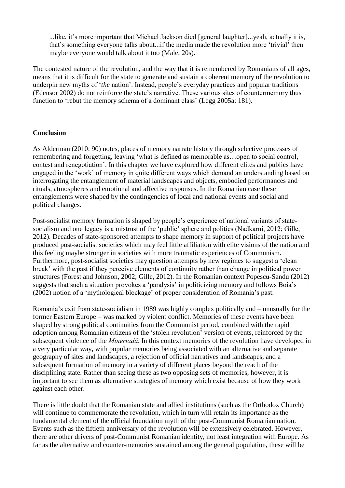...like, it's more important that Michael Jackson died [general laughter]...yeah, actually it is, that's something everyone talks about...if the media made the revolution more 'trivial' then maybe everyone would talk about it too (Male, 20s).

The contested nature of the revolution, and the way that it is remembered by Romanians of all ages, means that it is difficult for the state to generate and sustain a coherent memory of the revolution to underpin new myths of '*the* nation'. Instead, people's everyday practices and popular traditions (Edensor 2002) do not reinforce the state's narrative. These various sites of countermemory thus function to 'rebut the memory schema of a dominant class' (Legg 2005a: 181).

# **Conclusion**

As Alderman (2010: 90) notes, places of memory narrate history through selective processes of remembering and forgetting, leaving 'what is defined as memorable as…open to social control, contest and renegotiation'. In this chapter we have explored how different elites and publics have engaged in the 'work' of memory in quite different ways which demand an understanding based on interrogating the entanglement of material landscapes and objects, embodied performances and rituals, atmospheres and emotional and affective responses. In the Romanian case these entanglements were shaped by the contingencies of local and national events and social and political changes.

Post-socialist memory formation is shaped by people's experience of national variants of statesocialism and one legacy is a mistrust of the 'public' sphere and politics (Nadkarni, 2012; Gille, 2012). Decades of state-sponsored attempts to shape memory in support of political projects have produced post-socialist societies which may feel little affiliation with elite visions of the nation and this feeling maybe stronger in societies with more traumatic experiences of Communism. Furthermore, post-socialist societies may question attempts by new regimes to suggest a 'clean break' with the past if they perceive elements of continuity rather than change in political power structures (Forest and Johnson, 2002; Gille, 2012). In the Romanian context Popescu-Sandu (2012) suggests that such a situation provokes a 'paralysis' in politicizing memory and follows Boia's (2002) notion of a 'mythological blockage' of proper consideration of Romania's past.

Romania's exit from state-socialism in 1989 was highly complex politically and – unusually for the former Eastern Europe – was marked by violent conflict. Memories of these events have been shaped by strong political continuities from the Communist period, combined with the rapid adoption among Romanian citizens of the 'stolen revolution' version of events, reinforced by the subsequent violence of the *Mineriadă*. In this context memories of the revolution have developed in a very particular way, with popular memories being associated with an alternative and separate geography of sites and landscapes, a rejection of official narratives and landscapes, and a subsequent formation of memory in a variety of different places beyond the reach of the disciplining state. Rather than seeing these as two opposing sets of memories, however, it is important to see them as alternative strategies of memory which exist because of how they work against each other.

There is little doubt that the Romanian state and allied institutions (such as the Orthodox Church) will continue to commemorate the revolution, which in turn will retain its importance as the fundamental element of the official foundation myth of the post-Communist Romanian nation. Events such as the fiftieth anniversary of the revolution will be extensively celebrated. However, there are other drivers of post-Communist Romanian identity, not least integration with Europe. As far as the alternative and counter-memories sustained among the general population, these will be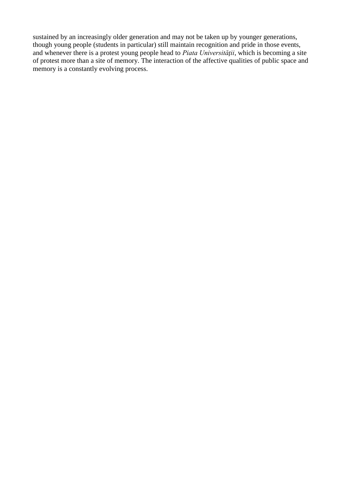sustained by an increasingly older generation and may not be taken up by younger generations, though young people (students in particular) still maintain recognition and pride in those events, and whenever there is a protest young people head to *Piata Universităţii*, which is becoming a site of protest more than a site of memory. The interaction of the affective qualities of public space and memory is a constantly evolving process.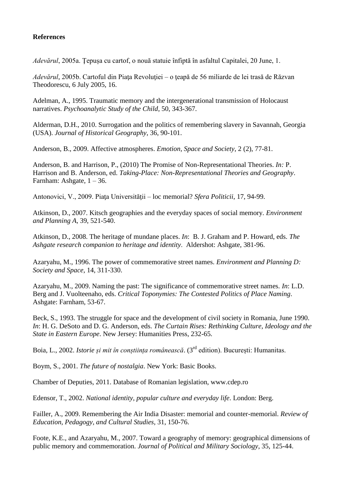# **References**

*Adevărul*, 2005a. Ţepușa cu cartof, o nouă statuie înfiptă în asfaltul Capitalei, 20 June, 1.

*Adevărul*, 2005b. Cartoful din Piața Revoluției – o țeapă de 56 miliarde de lei trasă de Răzvan Theodorescu, 6 July 2005, 16.

Adelman, A., 1995. Traumatic memory and the intergenerational transmission of Holocaust narratives. *Psychoanalytic Study of the Child*, 50, 343-367.

Alderman, D.H., 2010. Surrogation and the politics of remembering slavery in Savannah, Georgia (USA). *Journal of Historical Geography*, 36, 90-101.

Anderson, B., 2009. Affective atmospheres. *Emotion, Space and Society*, 2 (2), 77-81.

Anderson, B. and Harrison, P., (2010) The Promise of Non-Representational Theories. *In:* P. Harrison and B. Anderson, ed. *Taking-Place: Non-Representational Theories and Geography*. Farnham: Ashgate,  $1 - 36$ .

Antonovici, V., 2009. Piaţa Universităţii – loc memorial? *Sfera Politicii*, 17, 94-99.

Atkinson, D., 2007. Kitsch geographies and the everyday spaces of social memory. *Environment and Planning A*, 39, 521-540.

Atkinson, D., 2008. The heritage of mundane places. *In*: B. J. Graham and P. Howard, eds. *The Ashgate research companion to heritage and identity*. Aldershot: Ashgate, 381-96.

Azaryahu, M., 1996. The power of commemorative street names. *Environment and Planning D: Society and Space*, 14, 311-330.

Azaryahu, M., 2009. Naming the past: The significance of commemorative street names. *In*: L.D. Berg and J. Vuolteenaho, eds. *Critical Toponymies: The Contested Politics of Place Naming*. Ashgate: Farnham, 53-67.

Beck, S., 1993. The struggle for space and the development of civil society in Romania, June 1990. *In*: H. G. DeSoto and D. G. Anderson, eds. *The Curtain Rises: Rethinking Culture, Ideology and the State in Eastern Europe*. New Jersey: Humanities Press, 232-65.

Boia, L., 2002. *Istorie și mit în conștiința românească*. (3rd edition). București: Humanitas.

Boym, S., 2001. *The future of nostalgia*. New York: Basic Books.

Chamber of Deputies, 2011. Database of Romanian legislation, www.cdep.ro

Edensor, T., 2002. *National identity, popular culture and everyday life*. London: Berg.

Failler, A., 2009. Remembering the Air India Disaster: memorial and counter-memorial. *Review of Education, Pedagogy, and Cultural Studies*, 31, 150-76.

Foote, K.E., and Azaryahu, M., 2007. Toward a geography of memory: geographical dimensions of public memory and commemoration. *Journal of Political and Military Sociology*, 35, 125-44.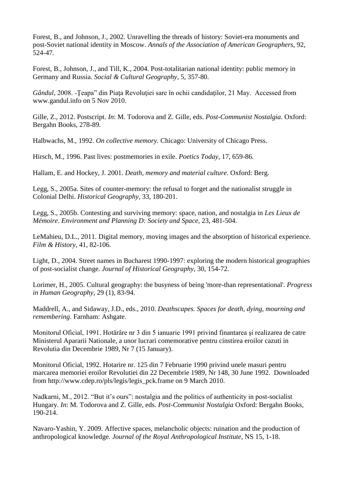Forest, B., and Johnson, J., 2002. Unravelling the threads of history: Soviet-era monuments and post-Soviet national identity in Moscow. *Annals of the Association of American Geographers*, 92, 524-47.

Forest, B., Johnson, J., and Till, K., 2004. Post-totalitarian national identity: public memory in Germany and Russia. *Social & Cultural Geography*, 5, 357-80.

*Gândul*, 2008. "Teapa" din Piața Revoluției sare în ochii candidaților, 21 May. Accessed from www.gandul.info on 5 Nov 2010.

Gille, Z., 2012. Postscript. *In*: M. Todorova and Z. Gille, eds. *Post-Communist Nostalgia*. Oxford: Bergahn Books, 278-89.

Halbwachs, M., 1992. *On collective memory.* Chicago: University of Chicago Press.

Hirsch, M., 1996. Past lives: postmemories in exile. *Poetics Today*, 17, 659-86.

Hallam, E. and Hockey, J. 2001. *Death, memory and material culture*. Oxford: Berg.

Legg, S., 2005a. Sites of counter-memory: the refusal to forget and the nationalist struggle in Colonial Delhi. *Historical Geography*, 33, 180-201.

Legg, S., 2005b. Contesting and surviving memory: space, nation, and nostalgia in *Les Lieux de Mémoire*. *Environment and Planning D: Society and Space*, 23, 481-504.

LeMahieu, D.L., 2011. Digital memory, moving images and the absorption of historical experience. *Film & History*, 41, 82-106.

Light, D., 2004. Street names in Bucharest 1990-1997: exploring the modern historical geographies of post-socialist change. *Journal of Historical Geography*, 30, 154-72.

Lorimer, H., 2005. Cultural geography: the busyness of being 'more-than representational'. *Progress in Human Geography*, 29 (1), 83-94.

Maddrell, A., and Sidaway, J.D., eds., 2010. *Deathscapes. Spaces for death, dying, mourning and remembering*. Farnham: Ashgate.

Monitorul Oficial, 1991. Hotărâre nr 3 din 5 ianuarie 1991 privind finantarea şi realizarea de catre Ministerul Apararii Nationale, a unor lucrari comemorative pentru cinstirea eroilor cazuti in Revolutia din Decembrie 1989, Nr 7 (15 January).

Monitorul Oficial, 1992. Hotarire nr. 125 din 7 Februarie 1990 privind unele masuri pentru marcarea memoriei eroilor Revolutiei din 22 Decembrie 1989, Nr 148, 30 June 1992. Downloaded from http://www.cdep.ro/pls/legis/legis\_pck.frame on 9 March 2010.

Nadkarni, M., 2012. "But it's ours": nostalgia and the politics of authenticity in post-socialist Hungary. *In*: M. Todorova and Z. Gille, eds. *Post-Communist Nostalgia* Oxford: Bergahn Books, 190-214.

Navaro-Yashin, Y. 2009. Affective spaces, melancholic objects: ruination and the production of anthropological knowledge. *Journal of the Royal Anthropological Institute*, NS 15, 1-18.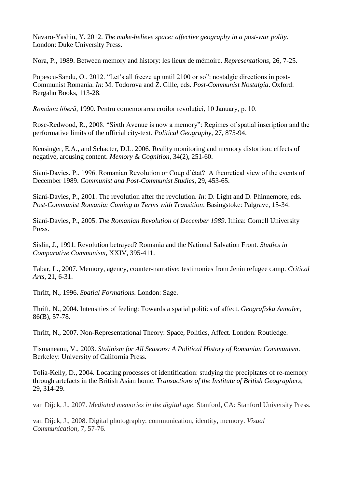Navaro-Yashin, Y. 2012. *The make-believe space: affective geography in a post-war polity*. London: Duke University Press.

Nora, P., 1989. Between memory and history: les lieux de mémoire. *Representations*, 26, 7-25.

Popescu-Sandu, O., 2012. "Let's all freeze up until 2100 or so": nostalgic directions in post-Communist Romania. *In*: M. Todorova and Z. Gille, eds. *Post-Communist Nostalgia*. Oxford: Bergahn Books, 113-28.

*România liberă*, 1990. Pentru comemorarea eroilor revoluţiei, 10 January, p. 10.

Rose-Redwood, R., 2008. "Sixth Avenue is now a memory": Regimes of spatial inscription and the performative limits of the official city-text. *Political Geography*, 27, 875-94.

Kensinger, E.A., and Schacter, D.L. 2006. Reality monitoring and memory distortion: effects of negative, arousing content. *Memory & Cognition*, 34(2), 251-60.

Siani-Davies, P., 1996. Romanian Revolution or Coup d'état? A theoretical view of the events of December 1989. *Communist and Post-Communist Studies*, 29, 453-65.

Siani-Davies, P., 2001. The revolution after the revolution. *In*: D. Light and D. Phinnemore, eds. *Post-Communist Romania: Coming to Terms with Transition*. Basingstoke: Palgrave, 15-34.

Siani-Davies, P., 2005. *The Romanian Revolution of December 1989*. Ithica: Cornell University Press.

Sislin, J., 1991. Revolution betrayed? Romania and the National Salvation Front. *Studies in Comparative Communism*, XXIV, 395-411.

Tabar, L., 2007. Memory, agency, counter-narrative: testimonies from Jenin refugee camp. *Critical Arts*, 21, 6-31.

Thrift, N., 1996. *Spatial Formations*. London: Sage.

Thrift, N., 2004. Intensities of feeling: Towards a spatial politics of affect. *Geografiska Annaler*, 86(B), 57-78.

Thrift, N., 2007. Non-Representational Theory: Space, Politics, Affect. London: Routledge.

Tismaneanu, V., 2003. *Stalinism for All Seasons: A Political History of Romanian Communism*. Berkeley: University of California Press.

Tolia-Kelly, D., 2004. Locating processes of identification: studying the precipitates of re-memory through artefacts in the British Asian home. *Transactions of the Institute of British Geographers*, 29, 314-29.

van Dijck, J., 2007. *Mediated memories in the digital age*. Stanford, CA: Stanford University Press.

van Dijck, J., 2008. Digital photography: communication, identity, memory. *Visual Communication*, 7, 57-76.